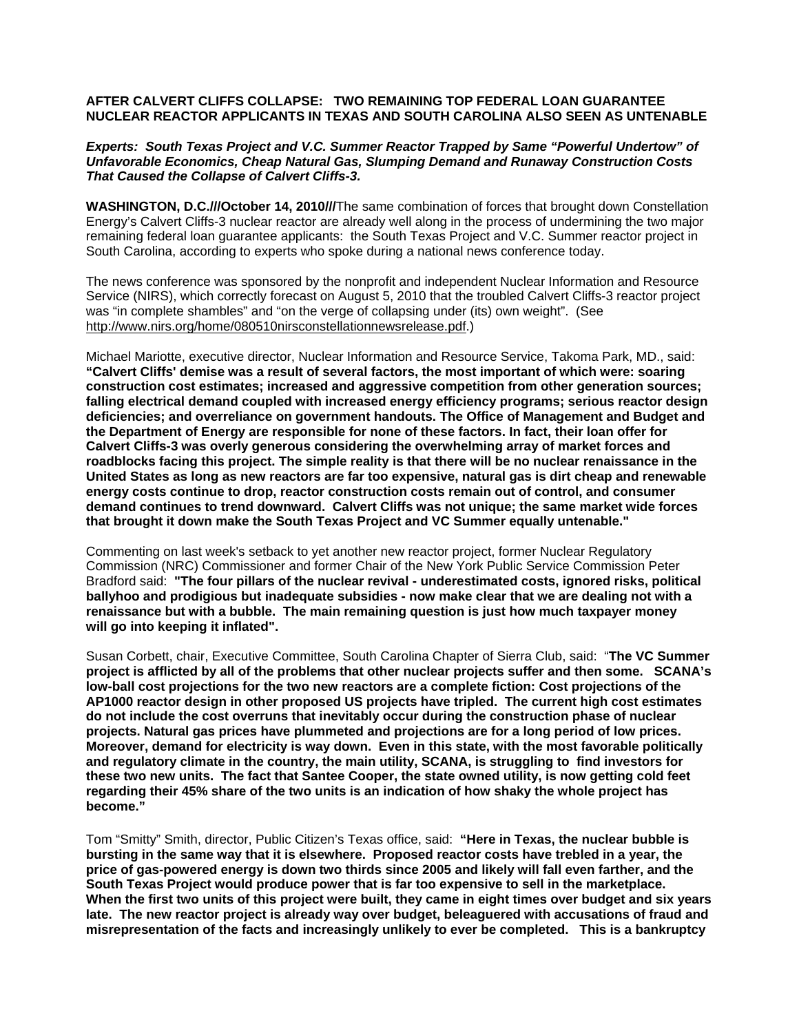# **AFTER CALVERT CLIFFS COLLAPSE: TWO REMAINING TOP FEDERAL LOAN GUARANTEE NUCLEAR REACTOR APPLICANTS IN TEXAS AND SOUTH CAROLINA ALSO SEEN AS UNTENABLE**

## *Experts: South Texas Project and V.C. Summer Reactor Trapped by Same "Powerful Undertow" of Unfavorable Economics, Cheap Natural Gas, Slumping Demand and Runaway Construction Costs That Caused the Collapse of Calvert Cliffs-3.*

**WASHINGTON, D.C.///October 14, 2010///**The same combination of forces that brought down Constellation Energy's Calvert Cliffs-3 nuclear reactor are already well along in the process of undermining the two major remaining federal loan guarantee applicants: the South Texas Project and V.C. Summer reactor project in South Carolina, according to experts who spoke during a national news conference today.

The news conference was sponsored by the nonprofit and independent Nuclear Information and Resource Service (NIRS), which correctly forecast on August 5, 2010 that the troubled Calvert Cliffs-3 reactor project was "in complete shambles" and "on the verge of collapsing under (its) own weight". (See http://www.nirs.org/home/080510nirsconstellationnewsrelease.pdf.)

Michael Mariotte, executive director, Nuclear Information and Resource Service, Takoma Park, MD., said: **"Calvert Cliffs' demise was a result of several factors, the most important of which were: soaring construction cost estimates; increased and aggressive competition from other generation sources; falling electrical demand coupled with increased energy efficiency programs; serious reactor design deficiencies; and overreliance on government handouts. The Office of Management and Budget and the Department of Energy are responsible for none of these factors. In fact, their loan offer for Calvert Cliffs-3 was overly generous considering the overwhelming array of market forces and roadblocks facing this project. The simple reality is that there will be no nuclear renaissance in the United States as long as new reactors are far too expensive, natural gas is dirt cheap and renewable energy costs continue to drop, reactor construction costs remain out of control, and consumer demand continues to trend downward. Calvert Cliffs was not unique; the same market wide forces that brought it down make the South Texas Project and VC Summer equally untenable."**

Commenting on last week's setback to yet another new reactor project, former Nuclear Regulatory Commission (NRC) Commissioner and former Chair of the New York Public Service Commission Peter Bradford said: **"The four pillars of the nuclear revival - underestimated costs, ignored risks, political ballyhoo and prodigious but inadequate subsidies - now make clear that we are dealing not with a renaissance but with a bubble. The main remaining question is just how much taxpayer money will go into keeping it inflated".**

Susan Corbett, chair, Executive Committee, South Carolina Chapter of Sierra Club, said: "**The VC Summer project is afflicted by all of the problems that other nuclear projects suffer and then some. SCANA's low-ball cost projections for the two new reactors are a complete fiction: Cost projections of the AP1000 reactor design in other proposed US projects have tripled. The current high cost estimates do not include the cost overruns that inevitably occur during the construction phase of nuclear projects. Natural gas prices have plummeted and projections are for a long period of low prices. Moreover, demand for electricity is way down. Even in this state, with the most favorable politically and regulatory climate in the country, the main utility, SCANA, is struggling to find investors for these two new units. The fact that Santee Cooper, the state owned utility, is now getting cold feet regarding their 45% share of the two units is an indication of how shaky the whole project has become."**

Tom "Smitty" Smith, director, Public Citizen's Texas office, said: **"Here in Texas, the nuclear bubble is bursting in the same way that it is elsewhere. Proposed reactor costs have trebled in a year, the price of gas-powered energy is down two thirds since 2005 and likely will fall even farther, and the South Texas Project would produce power that is far too expensive to sell in the marketplace. When the first two units of this project were built, they came in eight times over budget and six years late. The new reactor project is already way over budget, beleaguered with accusations of fraud and misrepresentation of the facts and increasingly unlikely to ever be completed. This is a bankruptcy**